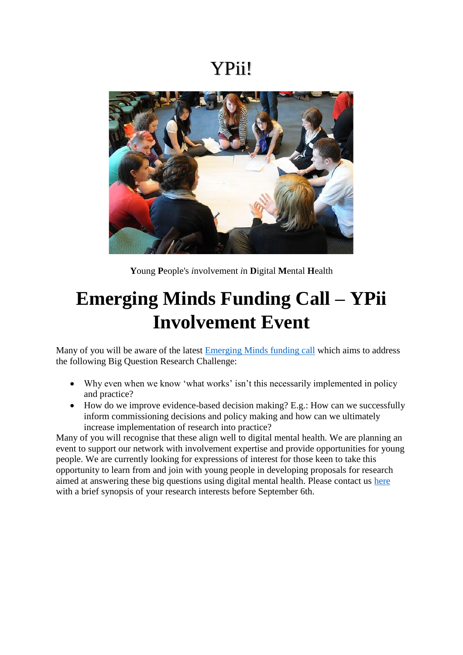### YPii!



**Y**oung **P**eople's *i*nvolvement *i*n **D**igital **M**ental **H**ealth

# **Emerging Minds Funding Call – YPii Involvement Event**

Many of you will be aware of the latest [Emerging Minds funding call](https://emergingminds.org.uk/emerging-minds-third-funding-call/) which aims to address the following Big Question Research Challenge:

- Why even when we know 'what works' isn't this necessarily implemented in policy and practice?
- $\bullet$  How do we improve evidence-based decision making? E.g.: How can we successfully inform commissioning decisions and policy making and how can we ultimately increase implementation of research into practice?

Many of you will recognise that these align well to digital mental health. We are planning an event to support our network with involvement expertise and provide opportunities for young people. We are currently looking for expressions of interest for those keen to take this opportunity to learn from and join with young people in developing proposals for research aimed at answering these big questions using digital mental health. Please contact us [here](mailto:ypiidmh@nottingham.ac.uk) with a brief synopsis of your research interests before September 6th.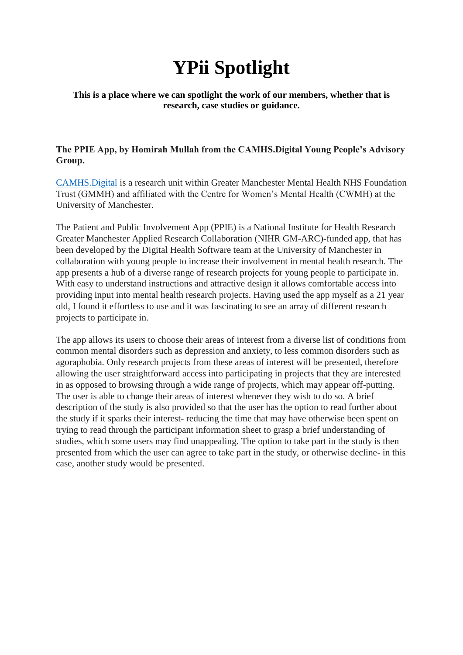# **YPii Spotlight**

### **This is a place where we can spotlight the work of our members, whether that is research, case studies or guidance.**

### **The PPIE App, by Homirah Mullah from the CAMHS.Digital Young People's Advisory Group.**

[CAMHS.Digital](https://camhs.digital/) is a research unit within Greater Manchester Mental Health NHS Foundation Trust (GMMH) and affiliated with the Centre for Women's Mental Health (CWMH) at the University of Manchester.

The Patient and Public Involvement App (PPIE) is a National Institute for Health Research Greater Manchester Applied Research Collaboration (NIHR GM-ARC)-funded app, that has been developed by the Digital Health Software team at the University of Manchester in collaboration with young people to increase their involvement in mental health research. The app presents a hub of a diverse range of research projects for young people to participate in. With easy to understand instructions and attractive design it allows comfortable access into providing input into mental health research projects. Having used the app myself as a 21 year old, I found it effortless to use and it was fascinating to see an array of different research projects to participate in.

The app allows its users to choose their areas of interest from a diverse list of conditions from common mental disorders such as depression and anxiety, to less common disorders such as agoraphobia. Only research projects from these areas of interest will be presented, therefore allowing the user straightforward access into participating in projects that they are interested in as opposed to browsing through a wide range of projects, which may appear off-putting. The user is able to change their areas of interest whenever they wish to do so. A brief description of the study is also provided so that the user has the option to read further about the study if it sparks their interest- reducing the time that may have otherwise been spent on trying to read through the participant information sheet to grasp a brief understanding of studies, which some users may find unappealing. The option to take part in the study is then presented from which the user can agree to take part in the study, or otherwise decline- in this case, another study would be presented.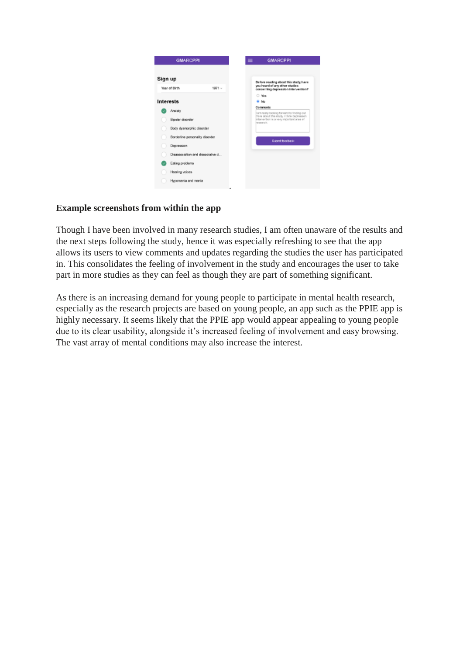

### **Example screenshots from within the app**

Though I have been involved in many research studies, I am often unaware of the results and the next steps following the study, hence it was especially refreshing to see that the app allows its users to view comments and updates regarding the studies the user has participated in. This consolidates the feeling of involvement in the study and encourages the user to take part in more studies as they can feel as though they are part of something significant.

As there is an increasing demand for young people to participate in mental health research, especially as the research projects are based on young people, an app such as the PPIE app is highly necessary. It seems likely that the PPIE app would appear appealing to young people due to its clear usability, alongside it's increased feeling of involvement and easy browsing. The vast array of mental conditions may also increase the interest.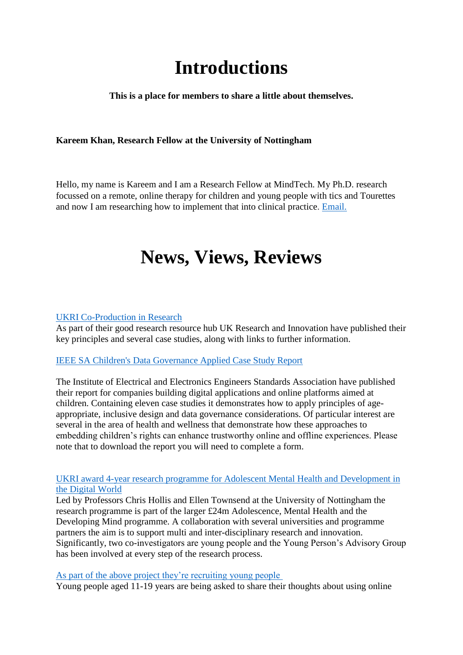## **Introductions**

**This is a place for members to share a little about themselves.**

### **Kareem Khan, Research Fellow at the University of Nottingham**

Hello, my name is Kareem and I am a Research Fellow at MindTech. My Ph.D. research focussed on a remote, online therapy for children and young people with tics and Tourettes and now I am researching how to implement that into clinical practice. [Email.](mailto:kareem.khan1@nottingham.ac.uk)

### **News, Views, Reviews**

#### [UKRI Co-Production in Research](https://www.ukri.org/about-us/policies-standards-and-data/good-research-resource-hub/research-co-production/)

As part of their good research resource hub UK Research and Innovation have published their key principles and several case studies, along with links to further information.

### [IEEE SA C](https://standards.ieee.org/initiatives/artificial-intelligence-systems/childrens-data-governance.html?mkt_tok=MjExLUZZTC05NTUAAAF9Ln0aidsH6bzupa7SoyiesH1VBYtrD98V-OenlGe_pOR7A0xJukZEDTAn1H136zRZu5WIzHAQZG0ef0-FCS2bFtvlqo-51WlphufZnew8)hildren's Data Governance Applied Case Study Report

The Institute of Electrical and Electronics Engineers Standards Association have published their report for companies building digital applications and online platforms aimed at children. Containing eleven case studies it demonstrates how to apply principles of ageappropriate, inclusive design and data governance considerations. Of particular interest are several in the area of health and wellness that demonstrate how these approaches to embedding children's rights can enhance trustworthy online and offline experiences. Please note that to download the report you will need to complete a form.

#### [UKRI award 4-year research programme for Adolescent Mental Health and Development in](https://www.mindtech.org.uk/news-events/latest-news/researchers-awarded-4m-to-improve-adolescent-mental-health)  [the Digital World](https://www.mindtech.org.uk/news-events/latest-news/researchers-awarded-4m-to-improve-adolescent-mental-health)

Led by Professors Chris Hollis and Ellen Townsend at the University of Nottingham the research programme is part of the larger £24m Adolescence, Mental Health and the Developing Mind programme. A collaboration with several universities and programme partners the aim is to support multi and inter-disciplinary research and innovation. Significantly, two co-investigators are young people and the Young Person's Advisory Group has been involved at every step of the research process.

#### As part of the above project [they're recruiting young people](https://nottingham.onlinesurveys.ac.uk/sparx-consent-form-ypc)

Young people aged 11-19 years are being asked to share their thoughts about using online